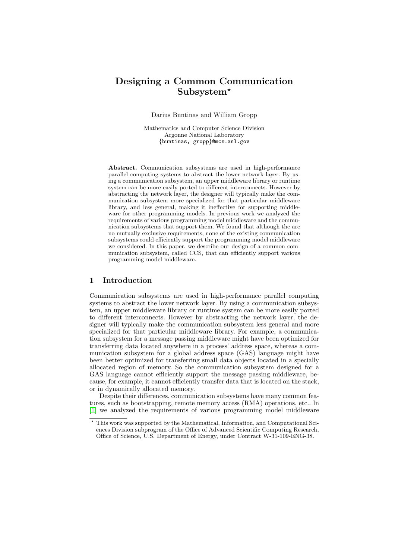# Designing a Common Communication Subsystem?

Darius Buntinas and William Gropp

Mathematics and Computer Science Division Argonne National Laboratory {buntinas, gropp}@mcs.anl.gov

Abstract. Communication subsystems are used in high-performance parallel computing systems to abstract the lower network layer. By using a communication subsystem, an upper middleware library or runtime system can be more easily ported to different interconnects. However by abstracting the network layer, the designer will typically make the communication subsystem more specialized for that particular middleware library, and less general, making it ineffective for supporting middleware for other programming models. In previous work we analyzed the requirements of various programming model middleware and the communication subsystems that support them. We found that although the are no mutually exclusive requirements, none of the existing communication subsystems could efficiently support the programming model middleware we considered. In this paper, we describe our design of a common communication subsystem, called CCS, that can efficiently support various programming model middleware.

# 1 Introduction

Communication subsystems are used in high-performance parallel computing systems to abstract the lower network layer. By using a communication subsystem, an upper middleware library or runtime system can be more easily ported to different interconnects. However by abstracting the network layer, the designer will typically make the communication subsystem less general and more specialized for that particular middleware library. For example, a communication subsystem for a message passing middleware might have been optimized for transferring data located anywhere in a process' address space, whereas a communication subsystem for a global address space (GAS) language might have been better optimized for transferring small data objects located in a specially allocated region of memory. So the communication subsystem designed for a GAS language cannot efficiently support the message passing middleware, because, for example, it cannot efficiently transfer data that is located on the stack, or in dynamically allocated memory.

Despite their differences, communication subsystems have many common features, such as bootstrapping, remote memory access (RMA) operations, etc.. In [\[1\]](#page-9-0) we analyzed the requirements of various programming model middleware

<sup>?</sup> This work was supported by the Mathematical, Information, and Computational Sciences Division subprogram of the Office of Advanced Scientific Computing Research, Office of Science, U.S. Department of Energy, under Contract W-31-109-ENG-38.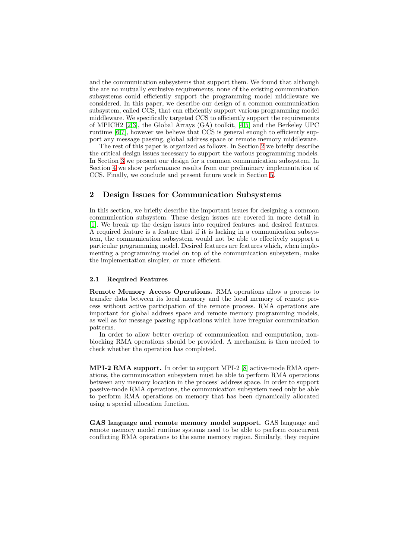and the communication subsystems that support them. We found that although the are no mutually exclusive requirements, none of the existing communication subsystems could efficiently support the programming model middleware we considered. In this paper, we describe our design of a common communication subsystem, called CCS, that can efficiently support various programming model middleware. We specifically targeted CCS to efficiently support the requirements of MPICH2 [\[2,3\]](#page-9-0), the Global Arrays (GA) toolkit, [\[4,5\]](#page-9-0) and the Berkeley UPC runtime [\[6,7\]](#page-9-0), however we believe that CCS is general enough to efficiently support any message passing, global address space or remote memory middleware.

The rest of this paper is organized as follows. In Section 2 we briefly describe the critical design issues necessary to support the various programming models. In Section [3](#page-3-0) we present our design for a common communication subsystem. In Section [4](#page-6-0) we show performance results from our preliminary implementation of CCS. Finally, we conclude and present future work in Section [5.](#page-8-0)

# 2 Design Issues for Communication Subsystems

In this section, we briefly describe the important issues for designing a common communication subsystem. These design issues are covered in more detail in [\[1\]](#page-9-0). We break up the design issues into required features and desired features. A required feature is a feature that if it is lacking in a communication subsystem, the communication subsystem would not be able to effectively support a particular programming model. Desired features are features which, when implementing a programming model on top of the communication subsystem, make the implementation simpler, or more efficient.

## 2.1 Required Features

Remote Memory Access Operations. RMA operations allow a process to transfer data between its local memory and the local memory of remote process without active participation of the remote process. RMA operations are important for global address space and remote memory programming models, as well as for message passing applications which have irregular communication patterns.

In order to allow better overlap of communication and computation, nonblocking RMA operations should be provided. A mechanism is then needed to check whether the operation has completed.

MPI-2 RMA support. In order to support MPI-2 [\[8\]](#page-9-0) active-mode RMA operations, the communication subsystem must be able to perform RMA operations between any memory location in the process' address space. In order to support passive-mode RMA operations, the communication subsystem need only be able to perform RMA operations on memory that has been dynamically allocated using a special allocation function.

GAS language and remote memory model support. GAS language and remote memory model runtime systems need to be able to perform concurrent conflicting RMA operations to the same memory region. Similarly, they require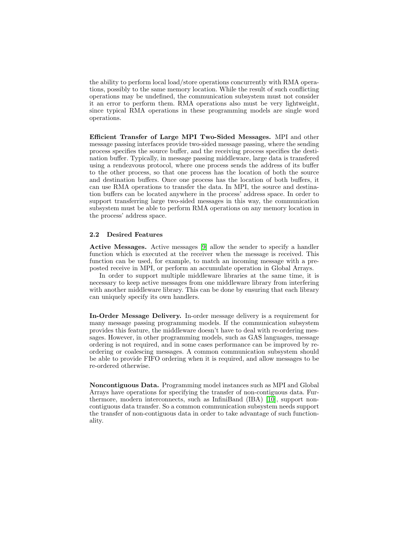the ability to perform local load/store operations concurrently with RMA operations, possibly to the same memory location. While the result of such conflicting operations may be undefined, the communication subsystem must not consider it an error to perform them. RMA operations also must be very lightweight, since typical RMA operations in these programming models are single word operations.

Efficient Transfer of Large MPI Two-Sided Messages. MPI and other message passing interfaces provide two-sided message passing, where the sending process specifies the source buffer, and the receiving process specifies the destination buffer. Typically, in message passing middleware, large data is transfered using a rendezvous protocol, where one process sends the address of its buffer to the other process, so that one process has the location of both the source and destination buffers. Once one process has the location of both buffers, it can use RMA operations to transfer the data. In MPI, the source and destination buffers can be located anywhere in the process' address space. In order to support transferring large two-sided messages in this way, the communication subsystem must be able to perform RMA operations on any memory location in the process' address space.

#### 2.2 Desired Features

Active Messages. Active messages [\[9\]](#page-9-0) allow the sender to specify a handler function which is executed at the receiver when the message is received. This function can be used, for example, to match an incoming message with a preposted receive in MPI, or perform an accumulate operation in Global Arrays.

In order to support multiple middleware libraries at the same time, it is necessary to keep active messages from one middleware library from interfering with another middleware library. This can be done by ensuring that each library can uniquely specify its own handlers.

In-Order Message Delivery. In-order message delivery is a requirement for many message passing programming models. If the communication subsystem provides this feature, the middleware doesn't have to deal with re-ordering messages. However, in other programming models, such as GAS languages, message ordering is not required, and in some cases performance can be improved by reordering or coalescing messages. A common communication subsystem should be able to provide FIFO ordering when it is required, and allow messages to be re-ordered otherwise.

Noncontiguous Data. Programming model instances such as MPI and Global Arrays have operations for specifying the transfer of non-contiguous data. Furthermore, modern interconnects, such as InfiniBand (IBA) [\[10\]](#page-9-0), support noncontiguous data transfer. So a common communication subsystem needs support the transfer of non-contiguous data in order to take advantage of such functionality.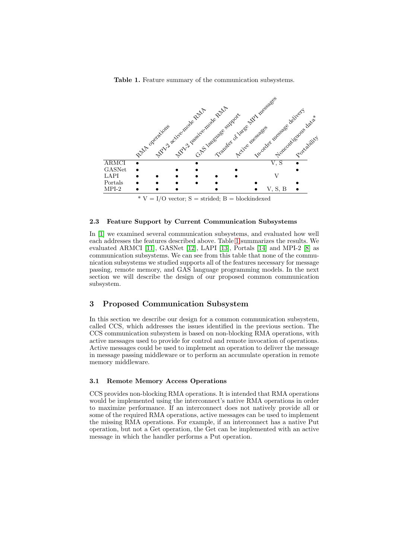Table 1. Feature summary of the communication subsystems.

<span id="page-3-0"></span>

## 2.3 Feature Support by Current Communication Subsystems

In [\[1\]](#page-9-0) we examined several communication subsystems, and evaluated how well each addresses the features described above. Table 1 summarizes the results. We evaluated ARMCI [\[11\]](#page-9-0), GASNet [\[12\]](#page-9-0), LAPI [\[13\]](#page-9-0), Portals [\[14\]](#page-9-0) and MPI-2 [\[8\]](#page-9-0) as communication subsystems. We can see from this table that none of the communication subsystems we studied supports all of the features necessary for message passing, remote memory, and GAS language programming models. In the next section we will describe the design of our proposed common communication subsystem.

# 3 Proposed Communication Subsystem

In this section we describe our design for a common communication subsystem, called CCS, which addresses the issues identified in the previous section. The CCS communication subsystem is based on non-blocking RMA operations, with active messages used to provide for control and remote invocation of operations. Active messages could be used to implement an operation to deliver the message in message passing middleware or to perform an accumulate operation in remote memory middleware.

## 3.1 Remote Memory Access Operations

CCS provides non-blocking RMA operations. It is intended that RMA operations would be implemented using the interconnect's native RMA operations in order to maximize performance. If an interconnect does not natively provide all or some of the required RMA operations, active messages can be used to implement the missing RMA operations. For example, if an interconnect has a native Put operation, but not a Get operation, the Get can be implemented with an active message in which the handler performs a Put operation.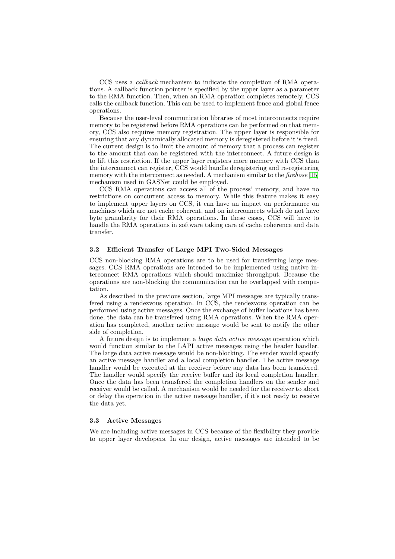CCS uses a callback mechanism to indicate the completion of RMA operations. A callback function pointer is specified by the upper layer as a parameter to the RMA function. Then, when an RMA operation completes remotely, CCS calls the callback function. This can be used to implement fence and global fence operations.

Because the user-level communication libraries of most interconnects require memory to be registered before RMA operations can be performed on that memory, CCS also requires memory registration. The upper layer is responsible for ensuring that any dynamically allocated memory is deregistered before it is freed. The current design is to limit the amount of memory that a process can register to the amount that can be registered with the interconnect. A future design is to lift this restriction. If the upper layer registers more memory with CCS than the interconnect can register, CCS would handle deregistering and re-registering memory with the interconnect as needed. A mechanism similar to the *firehose* [\[15\]](#page-9-0) mechanism used in GASNet could be employed.

CCS RMA operations can access all of the process' memory, and have no restrictions on concurrent access to memory. While this feature makes it easy to implement upper layers on CCS, it can have an impact on performance on machines which are not cache coherent, and on interconnects which do not have byte granularity for their RMA operations. In these cases, CCS will have to handle the RMA operations in software taking care of cache coherence and data transfer.

## 3.2 Efficient Transfer of Large MPI Two-Sided Messages

CCS non-blocking RMA operations are to be used for transferring large messages. CCS RMA operations are intended to be implemented using native interconnect RMA operations which should maximize throughput. Because the operations are non-blocking the communication can be overlapped with computation.

As described in the previous section, large MPI messages are typically transfered using a rendezvous operation. In CCS, the rendezvous operation can be performed using active messages. Once the exchange of buffer locations has been done, the data can be transfered using RMA operations. When the RMA operation has completed, another active message would be sent to notify the other side of completion.

A future design is to implement a *large data active message* operation which would function similar to the LAPI active messages using the header handler. The large data active message would be non-blocking. The sender would specify an active message handler and a local completion handler. The active message handler would be executed at the receiver before any data has been transfered. The handler would specify the receive buffer and its local completion handler. Once the data has been transfered the completion handlers on the sender and receiver would be called. A mechanism would be needed for the receiver to abort or delay the operation in the active message handler, if it's not ready to receive the data yet.

#### 3.3 Active Messages

We are including active messages in CCS because of the flexibility they provide to upper layer developers. In our design, active messages are intended to be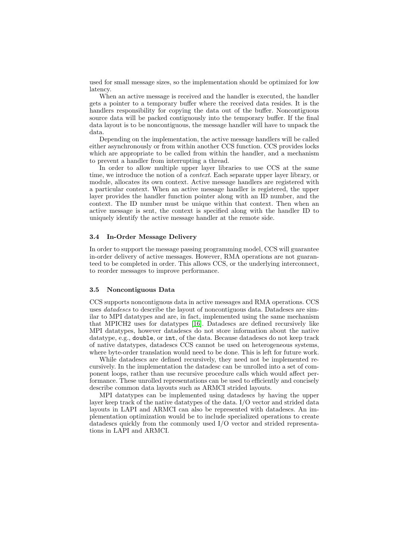used for small message sizes, so the implementation should be optimized for low latency.

When an active message is received and the handler is executed, the handler gets a pointer to a temporary buffer where the received data resides. It is the handlers responsibility for copying the data out of the buffer. Noncontiguous source data will be packed contiguously into the temporary buffer. If the final data layout is to be noncontiguous, the message handler will have to unpack the data.

Depending on the implementation, the active message handlers will be called either asynchronously or from within another CCS function. CCS provides locks which are appropriate to be called from within the handler, and a mechanism to prevent a handler from interrupting a thread.

In order to allow multiple upper layer libraries to use CCS at the same time, we introduce the notion of a *context*. Each separate upper layer library, or module, allocates its own context. Active message handlers are registered with a particular context. When an active message handler is registered, the upper layer provides the handler function pointer along with an ID number, and the context. The ID number must be unique within that context. Then when an active message is sent, the context is specified along with the handler ID to uniquely identify the active message handler at the remote side.

# 3.4 In-Order Message Delivery

In order to support the message passing programming model, CCS will guarantee in-order delivery of active messages. However, RMA operations are not guaranteed to be completed in order. This allows CCS, or the underlying interconnect, to reorder messages to improve performance.

## 3.5 Noncontiguous Data

CCS supports noncontiguous data in active messages and RMA operations. CCS uses *datadescs* to describe the layout of noncontiguous data. Datadescs are similar to MPI datatypes and are, in fact, implemented using the same mechanism that MPICH2 uses for datatypes [\[16\]](#page-9-0). Datadescs are defined recursively like MPI datatypes, however datadescs do not store information about the native datatype, e.g., double, or int, of the data. Because datadescs do not keep track of native datatypes, datadescs CCS cannot be used on heterogeneous systems, where byte-order translation would need to be done. This is left for future work.

While datadescs are defined recursively, they need not be implemented recursively. In the implementation the datadesc can be unrolled into a set of component loops, rather than use recursive procedure calls which would affect performance. These unrolled representations can be used to efficiently and concisely describe common data layouts such as ARMCI strided layouts.

MPI datatypes can be implemented using datadescs by having the upper layer keep track of the native datatypes of the data. I/O vector and strided data layouts in LAPI and ARMCI can also be represented with datadescs. An implementation optimization would be to include specialized operations to create datadescs quickly from the commonly used I/O vector and strided representations in LAPI and ARMCI.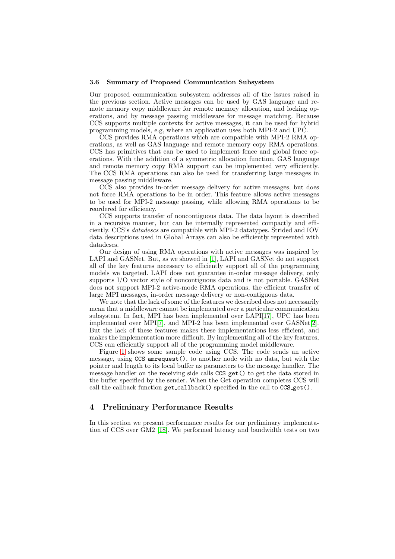#### <span id="page-6-0"></span>3.6 Summary of Proposed Communication Subsystem

Our proposed communication subsystem addresses all of the issues raised in the previous section. Active messages can be used by GAS language and remote memory copy middleware for remote memory allocation, and locking operations, and by message passing middleware for message matching. Because CCS supports multiple contexts for active messages, it can be used for hybrid programming models, e.g, where an application uses both MPI-2 and UPC.

CCS provides RMA operations which are compatible with MPI-2 RMA operations, as well as GAS language and remote memory copy RMA operations. CCS has primitives that can be used to implement fence and global fence operations. With the addition of a symmetric allocation function, GAS language and remote memory copy RMA support can be implemented very efficiently. The CCS RMA operations can also be used for transferring large messages in message passing middleware.

CCS also provides in-order message delivery for active messages, but does not force RMA operations to be in order. This feature allows active messages to be used for MPI-2 message passing, while allowing RMA operations to be reordered for efficiency.

CCS supports transfer of noncontiguous data. The data layout is described in a recursive manner, but can be internally represented compactly and efficiently. CCS's datadescs are compatible with MPI-2 datatypes. Strided and IOV data descriptions used in Global Arrays can also be efficiently represented with datadescs.

Our design of using RMA operations with active messages was inspired by LAPI and GASNet. But, as we showed in [\[1\]](#page-9-0), LAPI and GASNet do not support all of the key features necessary to efficiently support all of the programming models we targeted. LAPI does not guarantee in-order message delivery, only supports I/O vector style of noncontiguous data and is not portable. GASNet does not support MPI-2 active-mode RMA operations, the efficient transfer of large MPI messages, in-order message delivery or non-contiguous data.

We note that the lack of some of the features we described does not necessarily mean that a middleware cannot be implemented over a particular communication subsystem. In fact, MPI has been implemented over LAPI[\[17\]](#page-9-0), UPC has been implemented over MPI[\[7\]](#page-9-0), and MPI-2 has been implemented over GASNet[\[2\]](#page-9-0). But the lack of these features makes these implementations less efficient, and makes the implementation more difficult. By implementing all of the key features, CCS can efficiently support all of the programming model middleware.

Figure [1](#page-7-0) shows some sample code using CCS. The code sends an active message, using CCS amrequest(), to another node with no data, but with the pointer and length to its local buffer as parameters to the message handler. The message handler on the receiving side calls CCS\_get() to get the data stored in the buffer specified by the sender. When the Get operation completes CCS will call the callback function get\_callback() specified in the call to CCS\_get().

# 4 Preliminary Performance Results

In this section we present performance results for our preliminary implementation of CCS over GM2 [\[18\]](#page-9-0). We performed latency and bandwidth tests on two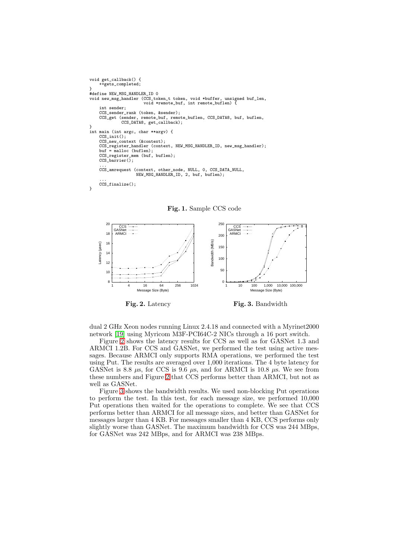```
void get_callback() {
     ++gets_completed;
}
#define NEW_MSG_HANDLER_ID 0
void new_msg_handler (CCS_token_t token, void *buffer, unsigned buf_len,
void *remote_buf, int remote_buflen) {
     int sender;
    CCS sender rank (token, &sender);
    CCS_get (sender, remote_buf, remote_buflen, CCS_DATA8, buf, buflen,
               CCS_DATA8, get_callback);
}
int main (int argc, char **argv) {
CCS_init();
    CCS_new_context (&context);
     CCS_register_handler (context, NEW_MSG_HANDLER_ID, new_msg_handler);
buf = malloc (buflen);
    CCS_register_mem (buf, buflen);
    CCS_barrier();
     ...
CCS_amrequest (context, other_node, NULL, 0, CCS_DATA_NULL,
                      NEW_MSG_HANDLER_ID, 2, buf, buflen);
     ...
CCS_finalize();
}
```


Fig. 1. Sample CCS code

dual 2 GHz Xeon nodes running Linux 2.4.18 and connected with a Myrinet2000 network [\[19\]](#page-9-0) using Myricom M3F-PCI64C-2 NICs through a 16 port switch.

Figure 2 shows the latency results for CCS as well as for GASNet 1.3 and ARMCI 1.2B. For CCS and GASNet, we performed the test using active messages. Because ARMCI only supports RMA operations, we performed the test using Put. The results are averaged over 1,000 iterations. The 4 byte latency for GASNet is 8.8  $\mu$ s, for CCS is 9.6  $\mu$ s, and for ARMCI is 10.8  $\mu$ s. We see from these numbers and Figure 2 that CCS performs better than ARMCI, but not as well as GASNet.

Figure 3 shows the bandwidth results. We used non-blocking Put operations to perform the test. In this test, for each message size, we performed 10,000 Put operations then waited for the operations to complete. We see that CCS performs better than ARMCI for all message sizes, and better than GASNet for messages larger than 4 KB. For messages smaller than 4 KB, CCS performs only slightly worse than GASNet. The maximum bandwidth for CCS was 244 MBps, for GASNet was 242 MBps, and for ARMCI was 238 MBps.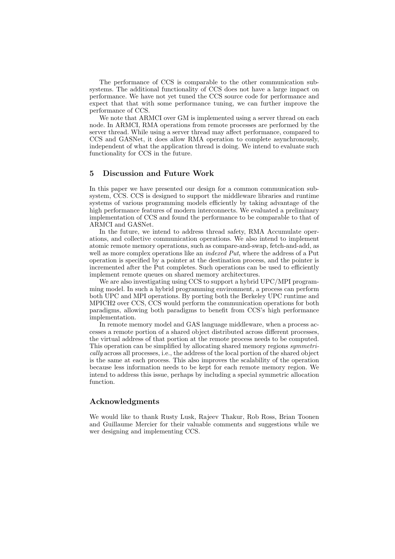<span id="page-8-0"></span>The performance of CCS is comparable to the other communication subsystems. The additional functionality of CCS does not have a large impact on performance. We have not yet tuned the CCS source code for performance and expect that that with some performance tuning, we can further improve the performance of CCS.

We note that ARMCI over GM is implemented using a server thread on each node. In ARMCI, RMA operations from remote processes are performed by the server thread. While using a server thread may affect performance, compared to CCS and GASNet, it does allow RMA operation to complete asynchronously, independent of what the application thread is doing. We intend to evaluate such functionality for CCS in the future.

# 5 Discussion and Future Work

In this paper we have presented our design for a common communication subsystem, CCS. CCS is designed to support the middleware libraries and runtime systems of various programming models efficiently by taking advantage of the high performance features of modern interconnects. We evaluated a preliminary implementation of CCS and found the performance to be comparable to that of ARMCI and GASNet.

In the future, we intend to address thread safety, RMA Accumulate operations, and collective communication operations. We also intend to implement atomic remote memory operations, such as compare-and-swap, fetch-and-add, as well as more complex operations like an *indexed Put*, where the address of a Put operation is specified by a pointer at the destination process, and the pointer is incremented after the Put completes. Such operations can be used to efficiently implement remote queues on shared memory architectures.

We are also investigating using CCS to support a hybrid UPC/MPI programming model. In such a hybrid programming environment, a process can perform both UPC and MPI operations. By porting both the Berkeley UPC runtime and MPICH2 over CCS, CCS would perform the communication operations for both paradigms, allowing both paradigms to benefit from CCS's high performance implementation.

In remote memory model and GAS language middleware, when a process accesses a remote portion of a shared object distributed across different processes, the virtual address of that portion at the remote process needs to be computed. This operation can be simplified by allocating shared memory regions symmetrically across all processes, i.e., the address of the local portion of the shared object is the same at each process. This also improves the scalability of the operation because less information needs to be kept for each remote memory region. We intend to address this issue, perhaps by including a special symmetric allocation function.

## Acknowledgments

We would like to thank Rusty Lusk, Rajeev Thakur, Rob Ross, Brian Toonen and Guillaume Mercier for their valuable comments and suggestions while we wer designing and implementing CCS.